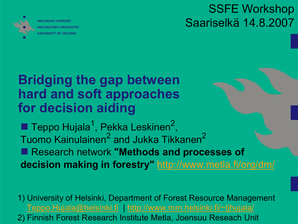

SSFE Workshop Saariselkä 14.8.2007

## **Bridging the gap between hard and soft approaches for decision aiding**

**Teppo Hujala<sup>1</sup>, Pekka Leskinen<sup>2</sup>,** Tuomo Kainulainen<sup>2</sup> and Jukka Tikkanen<sup>2</sup> ■ Research network "Methods and processes of **decision making in forestry"** <http://www.metla.fi/org/dm/>

1) University of Helsinki, Department of Forest Resource Management [Teppo.Hujala@helsinki.fi](mailto:Teppo.Hujala@helsinki.fi) | <http://www.mm.helsinki.fi/~tjhujala/>

2) Finnish Forest Research Institute Metla, Joensuu Reseach Unit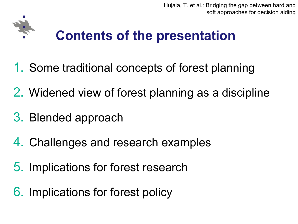

## **Contents of the presentation**

- 1. Some traditional concepts of forest planning
- 2. Widened view of forest planning as a discipline
- 3. Blended approach
- 4. Challenges and research examples
- 5. Implications for forest research
- 6. Implications for forest policy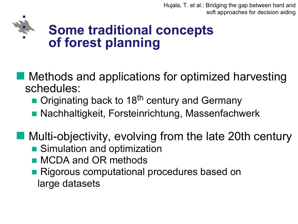

### **Some traditional concepts of forest planning**

**n Methods and applications for optimized harvesting** schedules:

■ Originating back to 18<sup>th</sup> century and Germany

■ Nachhaltigkeit, Forsteinrichtung, Massenfachwerk

 $\blacksquare$  Multi-objectivity, evolving from the late 20th century

- Simulation and optimization
- **n** MCDA and OR methods
- Rigorous computational procedures based on large datasets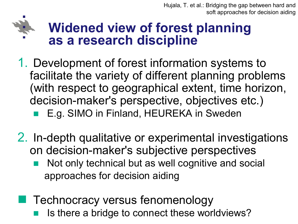## **Widened view of forest planning as a research discipline**

- 1. Development of forest information systems to facilitate the variety of different planning problems (with respect to geographical extent, time horizon, decision-maker's perspective, objectives etc.)
	- E.g. SIMO in Finland, HEUREKA in Sweden
- 2. In-depth qualitative or experimental investigations on decision-maker's subjective perspectives
	- Not only technical but as well cognitive and social approaches for decision aiding
	- **Technocracy versus fenomenology** 
		- Is there a bridge to connect these worldviews?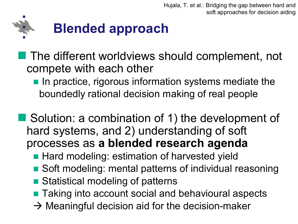

The different worldviews should complement, not compete with each other

n In practice, rigorous information systems mediate the boundedly rational decision making of real people

■ Solution: a combination of 1) the development of hard systems, and 2) understanding of soft processes as **a blended research agenda** 

- Hard modeling: estimation of harvested yield
- Soft modeling: mental patterns of individual reasoning
- Statistical modeling of patterns
- Taking into account social and behavioural aspects
- $\rightarrow$  Meaningful decision aid for the decision-maker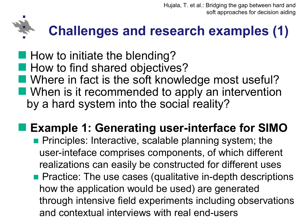## **Challenges and research examples (1)**

 $\blacksquare$  How to initiate the blending? **Now to find shared objectives?**  $\blacksquare$  Where in fact is the soft knowledge most useful?  $\blacksquare$  When is it recommended to apply an intervention by a hard system into the social reality?

**Example 1: Generating user-interface for SIMO n** Principles: Interactive, scalable planning system; the user-inteface comprises components, of which different realizations can easily be constructed for different uses

 $\blacksquare$  Practice: The use cases (qualitative in-depth descriptions how the application would be used) are generated through intensive field experiments including observations and contextual interviews with real end-users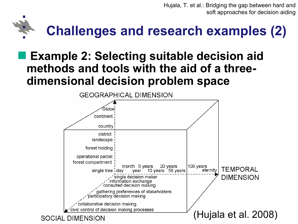# **Challenges and research examples (2)**

### n **Example 2: Selecting suitable decision aid methods and tools with the aid of a three dimensional decision problem space**

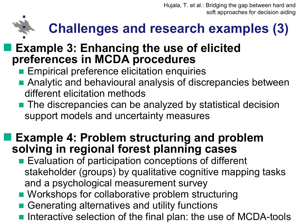## **Challenges and research examples (3)**

### **Example 3: Enhancing the use of elicited preferences in MCDA procedures**

- **Empirical preference elicitation enquiries**
- **n** Analytic and behavioural analysis of discrepancies between different elicitation methods
- The discrepancies can be analyzed by statistical decision support models and uncertainty measures

### n **Example 4: Problem structuring and problem solving in regional forest planning cases**

- Evaluation of participation conceptions of different stakeholder (groups) by qualitative cognitive mapping tasks and a psychological measurement survey
- Workshops for collaborative problem structuring
- n Generating alternatives and utility functions
- Interactive selection of the final plan: the use of MCDA-tools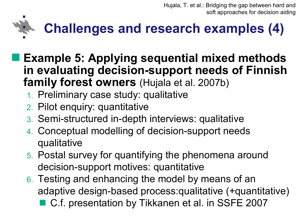

- n **Example 5: Applying sequential mixed methods in** evaluating decision-support needs of Finnish **family forest owners** (Hujala et al. 2007b)
	- 1. Preliminary case study: qualitative
	- 2. Pilot enquiry: quantitative
	- 3. Semi-structured in-depth interviews: qualitative
	- 4. Conceptual modelling of decision-support needs qualitative
	- 5. Postal survey for quantifying the phenomena around decision-support motives: quantitative
	- 6. Testing and enhancing the model by means of an adaptive design-based process:qualitative (+quantitative) ■ C.f. presentation by Tikkanen et al. in SSFE 2007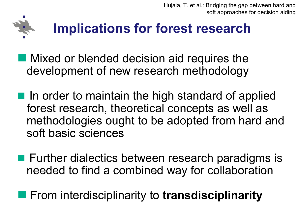

## **Implications for forest research**

- $\blacksquare$  Mixed or blended decision aid requires the development of new research methodology
- $\blacksquare$  In order to maintain the high standard of applied forest research, theoretical concepts as well as methodologies ought to be adopted from hard and soft basic sciences
- $\blacksquare$  Further dialectics between research paradigms is needed to find a combined way for collaboration

## **n From interdisciplinarity to transdisciplinarity**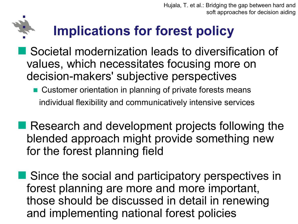## **Implications for forest policy**

- Societal modernization leads to diversification of values, which necessitates focusing more on decision-makers' subjective perspectives
	- Customer orientation in planning of private forests means individual flexibility and communicatively intensive services
- **Research and development projects following the** blended approach might provide something new for the forest planning field
- **Since the social and participatory perspectives in** forest planning are more and more important, those should be discussed in detail in renewing and implementing national forest policies